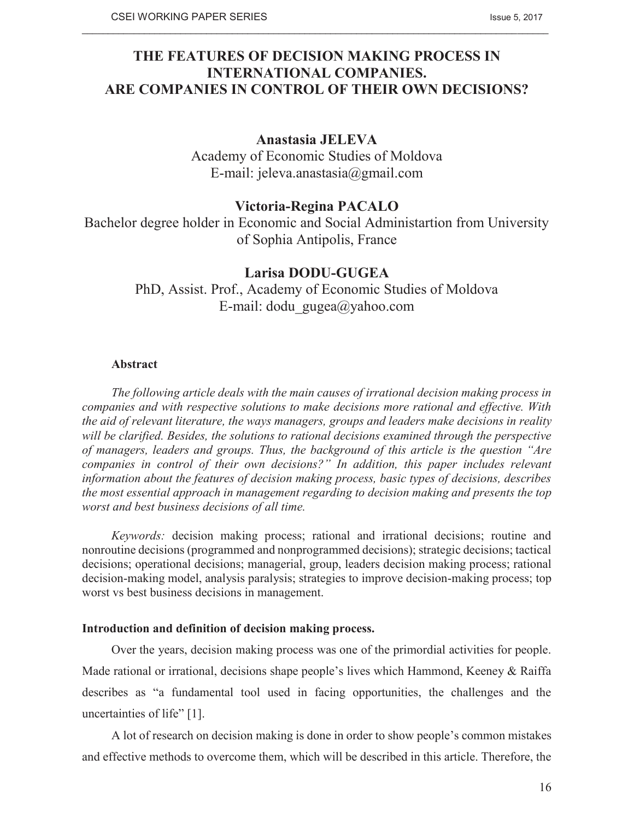# **THE FEATURES OF DECISION MAKING PROCESS IN INTERNATIONAL COMPANIES. ARE COMPANIES IN CONTROL OF THEIR OWN DECISIONS?**

 $\_$  , and the state of the state of the state of the state of the state of the state of the state of the state of the state of the state of the state of the state of the state of the state of the state of the state of the

# **Anastasia JELEVA**

Academy of Economic Studies of Moldova E-mail: jeleva.anastasia@gmail.com

# **Victoria-Regina PACALO**

Bachelor degree holder in Economic and Social Administartion from University of Sophia Antipolis, France

# **Larisa DODU-GUGEA**

PhD, Assist. Prof., Academy of Economic Studies of Moldova E-mail: dodu\_gugea@yahoo.com

# **Abstract**

*The following article deals with the main causes of irrational decision making process in companies and with respective solutions to make decisions more rational and effective. With the aid of relevant literature, the ways managers, groups and leaders make decisions in reality will be clarified. Besides, the solutions to rational decisions examined through the perspective of managers, leaders and groups. Thus, the background of this article is the question "Are companies in control of their own decisions?" In addition, this paper includes relevant information about the features of decision making process, basic types of decisions, describes the most essential approach in management regarding to decision making and presents the top worst and best business decisions of all time.* 

*Keywords:* decision making process; rational and irrational decisions; routine and nonroutine decisions (programmed and nonprogrammed decisions); strategic decisions; tactical decisions; operational decisions; managerial, group, leaders decision making process; rational decision-making model, analysis paralysis; strategies to improve decision-making process; top worst vs best business decisions in management.

# **Introduction and definition of decision making process.**

Over the years, decision making process was one of the primordial activities for people. Made rational or irrational, decisions shape people's lives which Hammond, Keeney & Raiffa describes as "a fundamental tool used in facing opportunities, the challenges and the uncertainties of life" [1].

A lot of research on decision making is done in order to show people's common mistakes and effective methods to overcome them, which will be described in this article. Therefore, the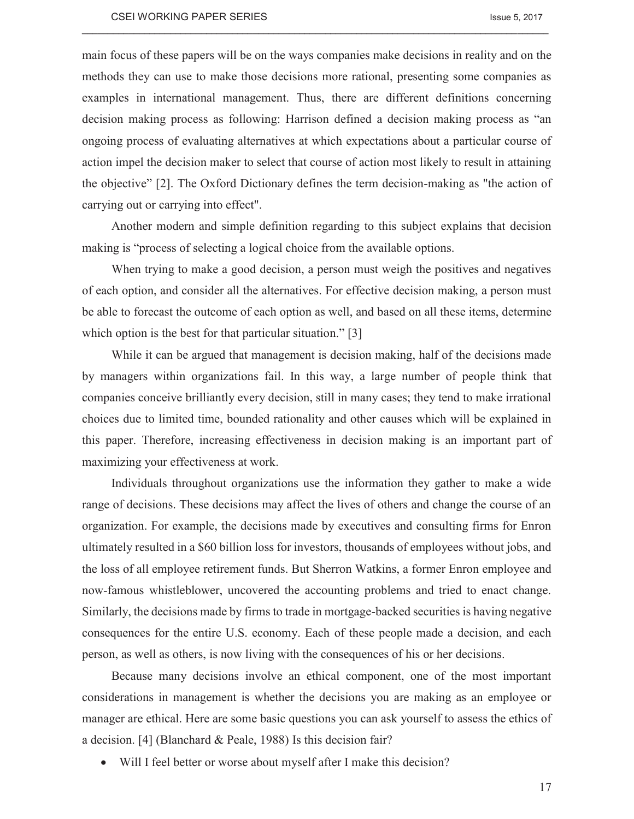main focus of these papers will be on the ways companies make decisions in reality and on the methods they can use to make those decisions more rational, presenting some companies as examples in international management. Thus, there are different definitions concerning decision making process as following: Harrison defined a decision making process as "an ongoing process of evaluating alternatives at which expectations about a particular course of action impel the decision maker to select that course of action most likely to result in attaining the objective" [2]. The Oxford Dictionary defines the term decision-making as "the action of carrying out or carrying into effect".

 $\_$  , and the state of the state of the state of the state of the state of the state of the state of the state of the state of the state of the state of the state of the state of the state of the state of the state of the

Another modern and simple definition regarding to this subject explains that decision making is "process of selecting a logical choice from the available options.

When trying to make a good decision, a person must weigh the positives and negatives of each option, and consider all the alternatives. For effective decision making, a person must be able to forecast the outcome of each option as well, and based on all these items, determine which option is the best for that particular situation." [3]

While it can be argued that management is decision making, half of the decisions made by managers within organizations fail. In this way, a large number of people think that companies conceive brilliantly every decision, still in many cases; they tend to make irrational choices due to limited time, bounded rationality and other causes which will be explained in this paper. Therefore, increasing effectiveness in decision making is an important part of maximizing your effectiveness at work.

Individuals throughout organizations use the information they gather to make a wide range of decisions. These decisions may affect the lives of others and change the course of an organization. For example, the decisions made by executives and consulting firms for Enron ultimately resulted in a \$60 billion loss for investors, thousands of employees without jobs, and the loss of all employee retirement funds. But Sherron Watkins, a former Enron employee and now-famous whistleblower, uncovered the accounting problems and tried to enact change. Similarly, the decisions made by firms to trade in mortgage-backed securities is having negative consequences for the entire U.S. economy. Each of these people made a decision, and each person, as well as others, is now living with the consequences of his or her decisions.

Because many decisions involve an ethical component, one of the most important considerations in management is whether the decisions you are making as an employee or manager are ethical. Here are some basic questions you can ask yourself to assess the ethics of a decision. [4] (Blanchard & Peale, 1988) Is this decision fair?

Will I feel better or worse about myself after I make this decision?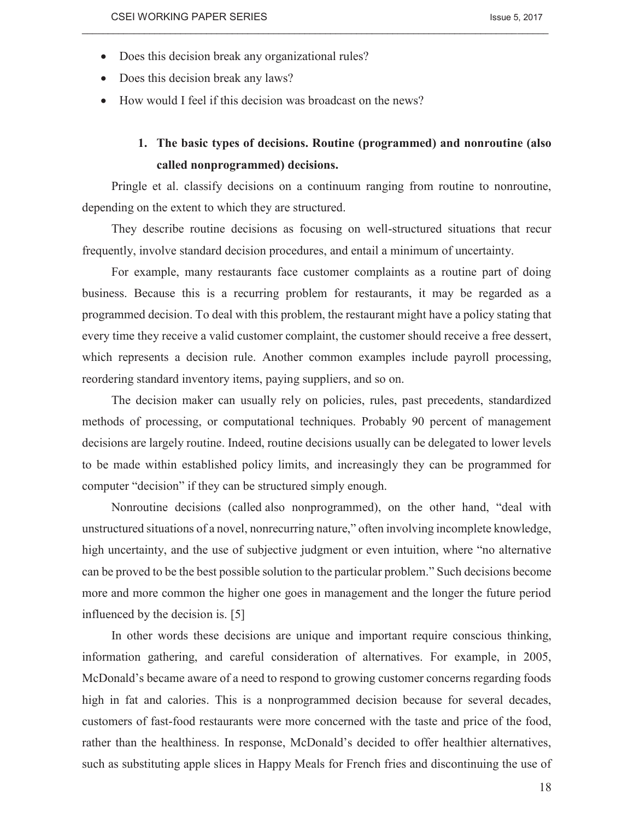- Does this decision break any organizational rules?
- Does this decision break any laws?
- · How would I feel if this decision was broadcast on the news?

# **1. The basic types of decisions. Routine (programmed) and nonroutine (also called nonprogrammed) decisions.**

Pringle et al. classify decisions on a continuum ranging from routine to nonroutine, depending on the extent to which they are structured.

 $\_$  , and the state of the state of the state of the state of the state of the state of the state of the state of the state of the state of the state of the state of the state of the state of the state of the state of the

They describe routine decisions as focusing on well-structured situations that recur frequently, involve standard decision procedures, and entail a minimum of uncertainty.

For example, many restaurants face customer complaints as a routine part of doing business. Because this is a recurring problem for restaurants, it may be regarded as a programmed decision. To deal with this problem, the restaurant might have a policy stating that every time they receive a valid customer complaint, the customer should receive a free dessert, which represents a decision rule. Another common examples include payroll processing, reordering standard inventory items, paying suppliers, and so on.

The decision maker can usually rely on policies, rules, past precedents, standardized methods of processing, or computational techniques. Probably 90 percent of management decisions are largely routine. Indeed, routine decisions usually can be delegated to lower levels to be made within established policy limits, and increasingly they can be programmed for computer "decision" if they can be structured simply enough.

Nonroutine decisions (called also nonprogrammed), on the other hand, "deal with unstructured situations of a novel, nonrecurring nature," often involving incomplete knowledge, high uncertainty, and the use of subjective judgment or even intuition, where "no alternative can be proved to be the best possible solution to the particular problem." Such decisions become more and more common the higher one goes in management and the longer the future period influenced by the decision is. [5]

In other words these decisions are unique and important require conscious thinking, information gathering, and careful consideration of alternatives. For example, in 2005, McDonald's became aware of a need to respond to growing customer concerns regarding foods high in fat and calories. This is a nonprogrammed decision because for several decades, customers of fast-food restaurants were more concerned with the taste and price of the food, rather than the healthiness. In response, McDonald's decided to offer healthier alternatives, such as substituting apple slices in Happy Meals for French fries and discontinuing the use of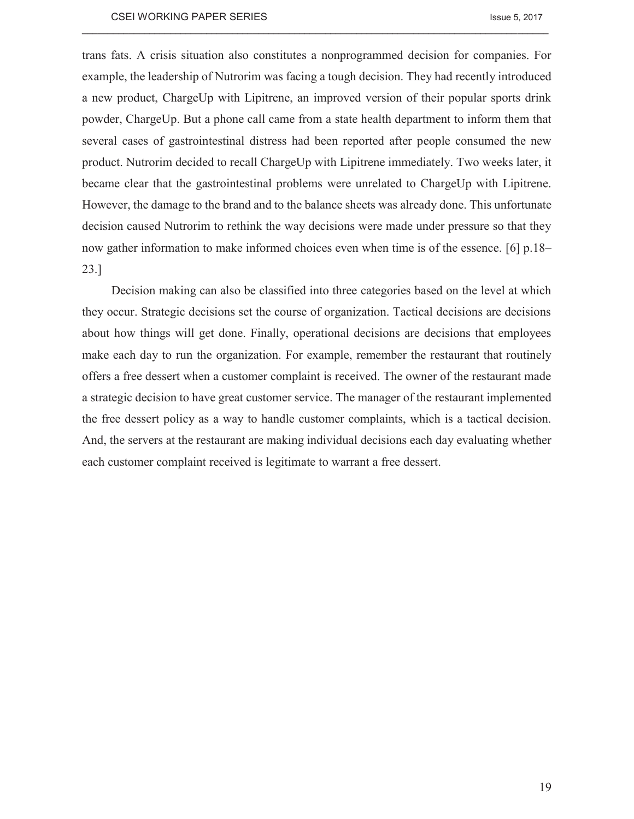trans fats. A crisis situation also constitutes a nonprogrammed decision for companies. For example, the leadership of Nutrorim was facing a tough decision. They had recently introduced a new product, ChargeUp with Lipitrene, an improved version of their popular sports drink powder, ChargeUp. But a phone call came from a state health department to inform them that several cases of gastrointestinal distress had been reported after people consumed the new product. Nutrorim decided to recall ChargeUp with Lipitrene immediately. Two weeks later, it became clear that the gastrointestinal problems were unrelated to ChargeUp with Lipitrene. However, the damage to the brand and to the balance sheets was already done. This unfortunate decision caused Nutrorim to rethink the way decisions were made under pressure so that they now gather information to make informed choices even when time is of the essence. [6] p.18– 23.]

 $\_$  , and the state of the state of the state of the state of the state of the state of the state of the state of the state of the state of the state of the state of the state of the state of the state of the state of the

Decision making can also be classified into three categories based on the level at which they occur. Strategic decisions set the course of organization. Tactical decisions are decisions about how things will get done. Finally, operational decisions are decisions that employees make each day to run the organization. For example, remember the restaurant that routinely offers a free dessert when a customer complaint is received. The owner of the restaurant made a strategic decision to have great customer service. The manager of the restaurant implemented the free dessert policy as a way to handle customer complaints, which is a tactical decision. And, the servers at the restaurant are making individual decisions each day evaluating whether each customer complaint received is legitimate to warrant a free dessert.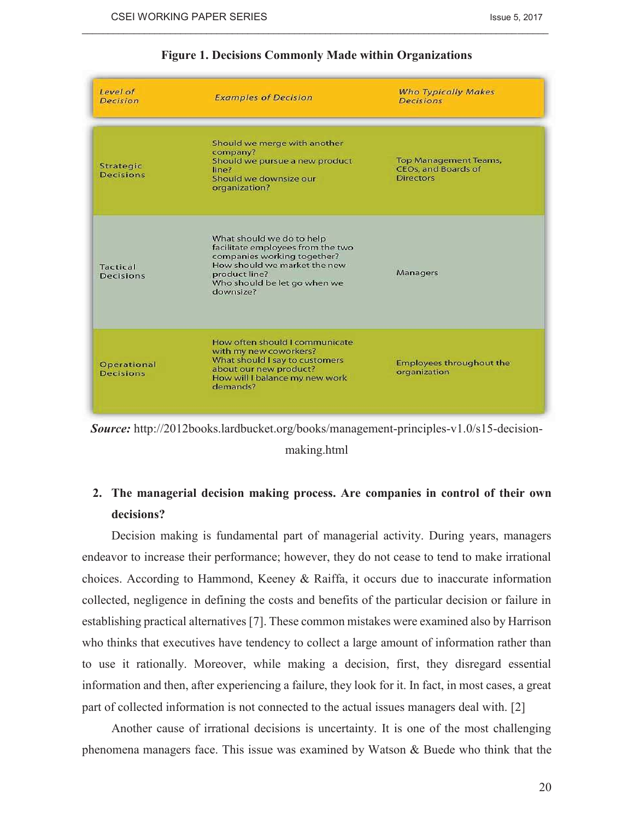| Level of<br><b>Decision</b>     | <b>Examples of Decision</b>                                                                                                                                                                 | <b>Who Typically Makes</b><br><b>Decisions</b>                                 |
|---------------------------------|---------------------------------------------------------------------------------------------------------------------------------------------------------------------------------------------|--------------------------------------------------------------------------------|
| Strategic<br><b>Decisions</b>   | Should we merge with another<br>company?<br>Should we pursue a new product<br>line?<br>Should we downsize our<br>organization?                                                              | <b>Top Management Teams,</b><br><b>CEOs, and Boards of</b><br><b>Directors</b> |
| <b>Tactical</b><br>Decisions    | What should we do to help<br>facilitate employees from the two<br>companies working together?<br>How should we market the new<br>product line?<br>Who should be let go when we<br>downsize? | Managers                                                                       |
| Operational<br><b>Decisions</b> | How often should I communicate<br>with my new coworkers?<br>What should I say to customers<br>about our new product?<br>How will I balance my new work<br>demands?                          | Employees throughout the<br>organization                                       |

# **Figure 1. Decisions Commonly Made within Organizations**

 $\_$  , and the state of the state of the state of the state of the state of the state of the state of the state of the state of the state of the state of the state of the state of the state of the state of the state of the



making.html

# **2. The managerial decision making process. Are companies in control of their own decisions?**

Decision making is fundamental part of managerial activity. During years, managers endeavor to increase their performance; however, they do not cease to tend to make irrational choices. According to Hammond, Keeney & Raiffa, it occurs due to inaccurate information collected, negligence in defining the costs and benefits of the particular decision or failure in establishing practical alternatives [7]. These common mistakes were examined also by Harrison who thinks that executives have tendency to collect a large amount of information rather than to use it rationally. Moreover, while making a decision, first, they disregard essential information and then, after experiencing a failure, they look for it. In fact, in most cases, a great part of collected information is not connected to the actual issues managers deal with. [2]

Another cause of irrational decisions is uncertainty. It is one of the most challenging phenomena managers face. This issue was examined by Watson & Buede who think that the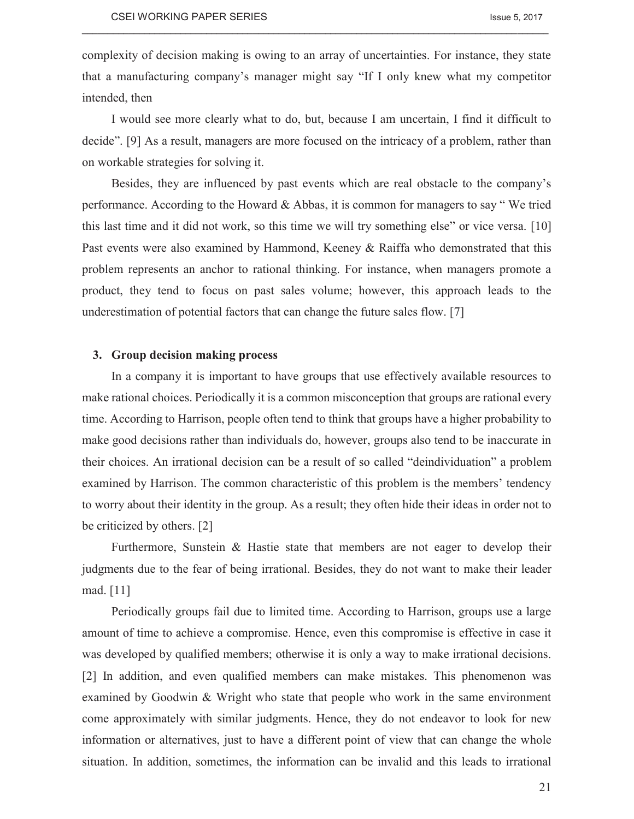complexity of decision making is owing to an array of uncertainties. For instance, they state that a manufacturing company's manager might say "If I only knew what my competitor intended, then

 $\_$  , and the state of the state of the state of the state of the state of the state of the state of the state of the state of the state of the state of the state of the state of the state of the state of the state of the

I would see more clearly what to do, but, because I am uncertain, I find it difficult to decide". [9] As a result, managers are more focused on the intricacy of a problem, rather than on workable strategies for solving it.

Besides, they are influenced by past events which are real obstacle to the company's performance. According to the Howard & Abbas, it is common for managers to say " We tried this last time and it did not work, so this time we will try something else" or vice versa. [10] Past events were also examined by Hammond, Keeney & Raiffa who demonstrated that this problem represents an anchor to rational thinking. For instance, when managers promote a product, they tend to focus on past sales volume; however, this approach leads to the underestimation of potential factors that can change the future sales flow. [7]

# **3. Group decision making process**

In a company it is important to have groups that use effectively available resources to make rational choices. Periodically it is a common misconception that groups are rational every time. According to Harrison, people often tend to think that groups have a higher probability to make good decisions rather than individuals do, however, groups also tend to be inaccurate in their choices. An irrational decision can be a result of so called "deindividuation" a problem examined by Harrison. The common characteristic of this problem is the members' tendency to worry about their identity in the group. As a result; they often hide their ideas in order not to be criticized by others. [2]

Furthermore, Sunstein & Hastie state that members are not eager to develop their judgments due to the fear of being irrational. Besides, they do not want to make their leader mad. [11]

Periodically groups fail due to limited time. According to Harrison, groups use a large amount of time to achieve a compromise. Hence, even this compromise is effective in case it was developed by qualified members; otherwise it is only a way to make irrational decisions. [2] In addition, and even qualified members can make mistakes. This phenomenon was examined by Goodwin & Wright who state that people who work in the same environment come approximately with similar judgments. Hence, they do not endeavor to look for new information or alternatives, just to have a different point of view that can change the whole situation. In addition, sometimes, the information can be invalid and this leads to irrational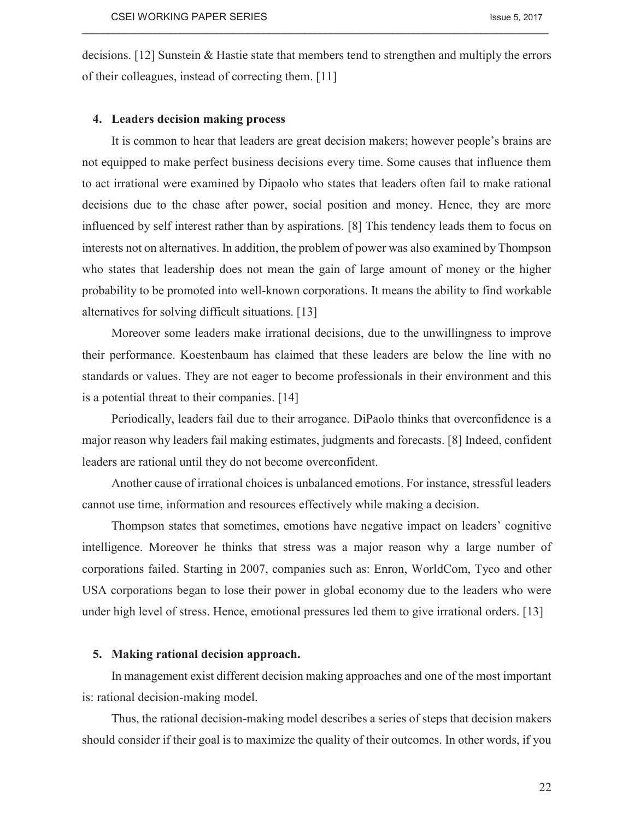decisions. [12] Sunstein & Hastie state that members tend to strengthen and multiply the errors of their colleagues, instead of correcting them. [11]

 $\_$  , and the state of the state of the state of the state of the state of the state of the state of the state of the state of the state of the state of the state of the state of the state of the state of the state of the

### **4. Leaders decision making process**

It is common to hear that leaders are great decision makers; however people's brains are not equipped to make perfect business decisions every time. Some causes that influence them to act irrational were examined by Dipaolo who states that leaders often fail to make rational decisions due to the chase after power, social position and money. Hence, they are more influenced by self interest rather than by aspirations. [8] This tendency leads them to focus on interests not on alternatives. In addition, the problem of power was also examined by Thompson who states that leadership does not mean the gain of large amount of money or the higher probability to be promoted into well-known corporations. It means the ability to find workable alternatives for solving difficult situations. [13]

Moreover some leaders make irrational decisions, due to the unwillingness to improve their performance. Koestenbaum has claimed that these leaders are below the line with no standards or values. They are not eager to become professionals in their environment and this is a potential threat to their companies. [14]

Periodically, leaders fail due to their arrogance. DiPaolo thinks that overconfidence is a major reason why leaders fail making estimates, judgments and forecasts. [8] Indeed, confident leaders are rational until they do not become overconfident.

Another cause of irrational choices is unbalanced emotions. For instance, stressful leaders cannot use time, information and resources effectively while making a decision.

Thompson states that sometimes, emotions have negative impact on leaders' cognitive intelligence. Moreover he thinks that stress was a major reason why a large number of corporations failed. Starting in 2007, companies such as: Enron, WorldCom, Tyco and other USA corporations began to lose their power in global economy due to the leaders who were under high level of stress. Hence, emotional pressures led them to give irrational orders. [13]

### **5. Making rational decision approach.**

In management exist different decision making approaches and one of the most important is: rational decision-making model.

Thus, the rational decision-making model describes a series of steps that decision makers should consider if their goal is to maximize the quality of their outcomes. In other words, if you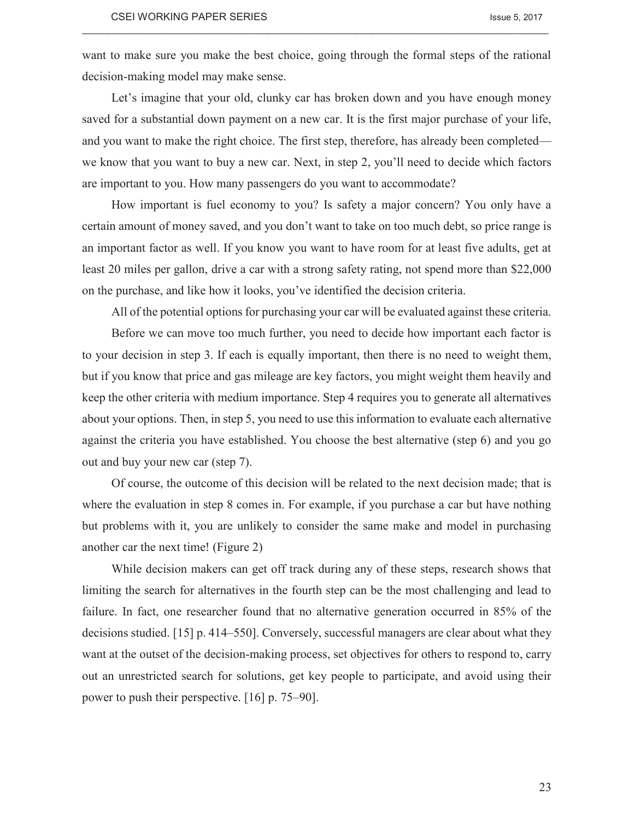want to make sure you make the best choice, going through the formal steps of the rational decision-making model may make sense.

 $\_$  , and the state of the state of the state of the state of the state of the state of the state of the state of the state of the state of the state of the state of the state of the state of the state of the state of the

Let's imagine that your old, clunky car has broken down and you have enough money saved for a substantial down payment on a new car. It is the first major purchase of your life, and you want to make the right choice. The first step, therefore, has already been completed we know that you want to buy a new car. Next, in step 2, you'll need to decide which factors are important to you. How many passengers do you want to accommodate?

How important is fuel economy to you? Is safety a major concern? You only have a certain amount of money saved, and you don't want to take on too much debt, so price range is an important factor as well. If you know you want to have room for at least five adults, get at least 20 miles per gallon, drive a car with a strong safety rating, not spend more than \$22,000 on the purchase, and like how it looks, you've identified the decision criteria.

All of the potential options for purchasing your car will be evaluated against these criteria.

Before we can move too much further, you need to decide how important each factor is to your decision in step 3. If each is equally important, then there is no need to weight them, but if you know that price and gas mileage are key factors, you might weight them heavily and keep the other criteria with medium importance. Step 4 requires you to generate all alternatives about your options. Then, in step 5, you need to use this information to evaluate each alternative against the criteria you have established. You choose the best alternative (step 6) and you go out and buy your new car (step 7).

Of course, the outcome of this decision will be related to the next decision made; that is where the evaluation in step 8 comes in. For example, if you purchase a car but have nothing but problems with it, you are unlikely to consider the same make and model in purchasing another car the next time! (Figure 2)

While decision makers can get off track during any of these steps, research shows that limiting the search for alternatives in the fourth step can be the most challenging and lead to failure. In fact, one researcher found that no alternative generation occurred in 85% of the decisions studied. [15] p. 414–550]. Conversely, successful managers are clear about what they want at the outset of the decision-making process, set objectives for others to respond to, carry out an unrestricted search for solutions, get key people to participate, and avoid using their power to push their perspective. [16] p. 75–90].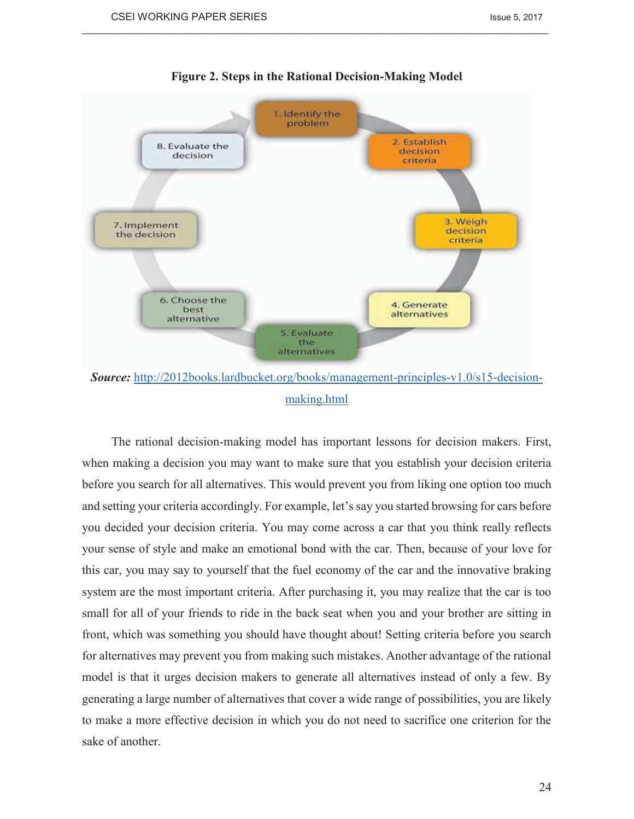

# **Figure 2. Steps in the Rational Decision-Making Model**

 $\_$  , and the state of the state of the state of the state of the state of the state of the state of the state of the state of the state of the state of the state of the state of the state of the state of the state of the

*Source:* http://2012books.lardbucket.org/books/management-principles-v1.0/s15-decisionmaking.html

The rational decision-making model has important lessons for decision makers. First, when making a decision you may want to make sure that you establish your decision criteria before you search for all alternatives. This would prevent you from liking one option too much and setting your criteria accordingly. For example, let's say you started browsing for cars before you decided your decision criteria. You may come across a car that you think really reflects your sense of style and make an emotional bond with the car. Then, because of your love for this car, you may say to yourself that the fuel economy of the car and the innovative braking system are the most important criteria. After purchasing it, you may realize that the car is too small for all of your friends to ride in the back seat when you and your brother are sitting in front, which was something you should have thought about! Setting criteria before you search for alternatives may prevent you from making such mistakes. Another advantage of the rational model is that it urges decision makers to generate all alternatives instead of only a few. By generating a large number of alternatives that cover a wide range of possibilities, you are likely to make a more effective decision in which you do not need to sacrifice one criterion for the sake of another.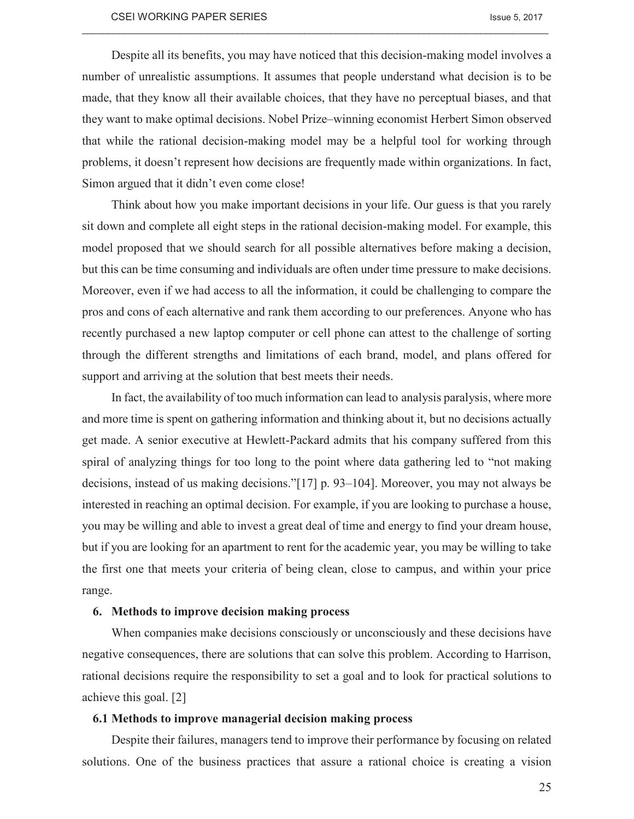Despite all its benefits, you may have noticed that this decision-making model involves a number of unrealistic assumptions. It assumes that people understand what decision is to be made, that they know all their available choices, that they have no perceptual biases, and that they want to make optimal decisions. Nobel Prize–winning economist Herbert Simon observed that while the rational decision-making model may be a helpful tool for working through problems, it doesn't represent how decisions are frequently made within organizations. In fact, Simon argued that it didn't even come close!

 $\_$  , and the state of the state of the state of the state of the state of the state of the state of the state of the state of the state of the state of the state of the state of the state of the state of the state of the

Think about how you make important decisions in your life. Our guess is that you rarely sit down and complete all eight steps in the rational decision-making model. For example, this model proposed that we should search for all possible alternatives before making a decision, but this can be time consuming and individuals are often under time pressure to make decisions. Moreover, even if we had access to all the information, it could be challenging to compare the pros and cons of each alternative and rank them according to our preferences. Anyone who has recently purchased a new laptop computer or cell phone can attest to the challenge of sorting through the different strengths and limitations of each brand, model, and plans offered for support and arriving at the solution that best meets their needs.

In fact, the availability of too much information can lead to analysis paralysis, where more and more time is spent on gathering information and thinking about it, but no decisions actually get made. A senior executive at Hewlett-Packard admits that his company suffered from this spiral of analyzing things for too long to the point where data gathering led to "not making decisions, instead of us making decisions."[17] p. 93–104]. Moreover, you may not always be interested in reaching an optimal decision. For example, if you are looking to purchase a house, you may be willing and able to invest a great deal of time and energy to find your dream house, but if you are looking for an apartment to rent for the academic year, you may be willing to take the first one that meets your criteria of being clean, close to campus, and within your price range.

# **6. Methods to improve decision making process**

When companies make decisions consciously or unconsciously and these decisions have negative consequences, there are solutions that can solve this problem. According to Harrison, rational decisions require the responsibility to set a goal and to look for practical solutions to achieve this goal. [2]

#### **6.1 Methods to improve managerial decision making process**

Despite their failures, managers tend to improve their performance by focusing on related solutions. One of the business practices that assure a rational choice is creating a vision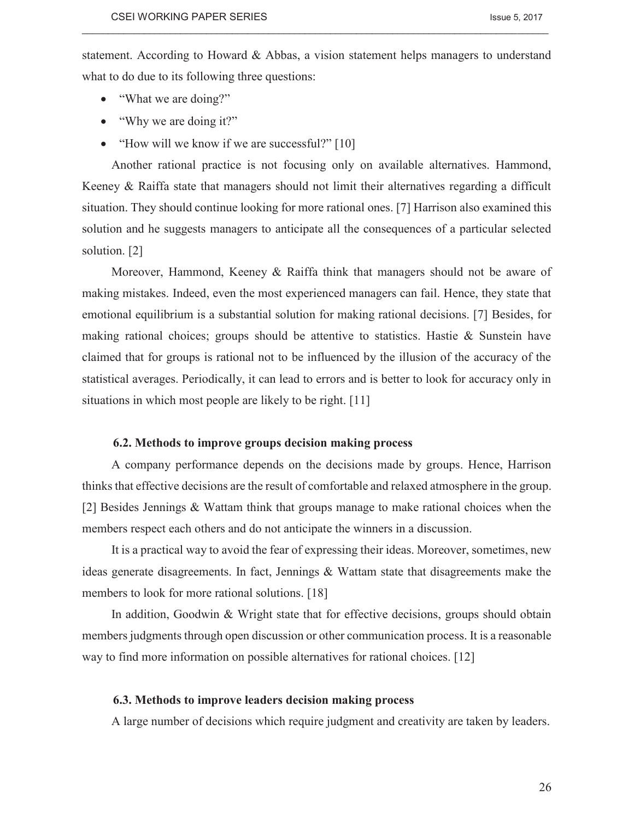statement. According to Howard & Abbas, a vision statement helps managers to understand what to do due to its following three questions:

 $\_$  , and the state of the state of the state of the state of the state of the state of the state of the state of the state of the state of the state of the state of the state of the state of the state of the state of the

- "What we are doing?"
- "Why we are doing it?"
- "How will we know if we are successful?" [10]

Another rational practice is not focusing only on available alternatives. Hammond, Keeney & Raiffa state that managers should not limit their alternatives regarding a difficult situation. They should continue looking for more rational ones. [7] Harrison also examined this solution and he suggests managers to anticipate all the consequences of a particular selected solution. [2]

Moreover, Hammond, Keeney & Raiffa think that managers should not be aware of making mistakes. Indeed, even the most experienced managers can fail. Hence, they state that emotional equilibrium is a substantial solution for making rational decisions. [7] Besides, for making rational choices; groups should be attentive to statistics. Hastie  $\&$  Sunstein have claimed that for groups is rational not to be influenced by the illusion of the accuracy of the statistical averages. Periodically, it can lead to errors and is better to look for accuracy only in situations in which most people are likely to be right. [11]

## **6.2. Methods to improve groups decision making process**

A company performance depends on the decisions made by groups. Hence, Harrison thinks that effective decisions are the result of comfortable and relaxed atmosphere in the group. [2] Besides Jennings & Wattam think that groups manage to make rational choices when the members respect each others and do not anticipate the winners in a discussion.

It is a practical way to avoid the fear of expressing their ideas. Moreover, sometimes, new ideas generate disagreements. In fact, Jennings & Wattam state that disagreements make the members to look for more rational solutions. [18]

In addition, Goodwin & Wright state that for effective decisions, groups should obtain members judgments through open discussion or other communication process. It is a reasonable way to find more information on possible alternatives for rational choices. [12]

#### **6.3. Methods to improve leaders decision making process**

A large number of decisions which require judgment and creativity are taken by leaders.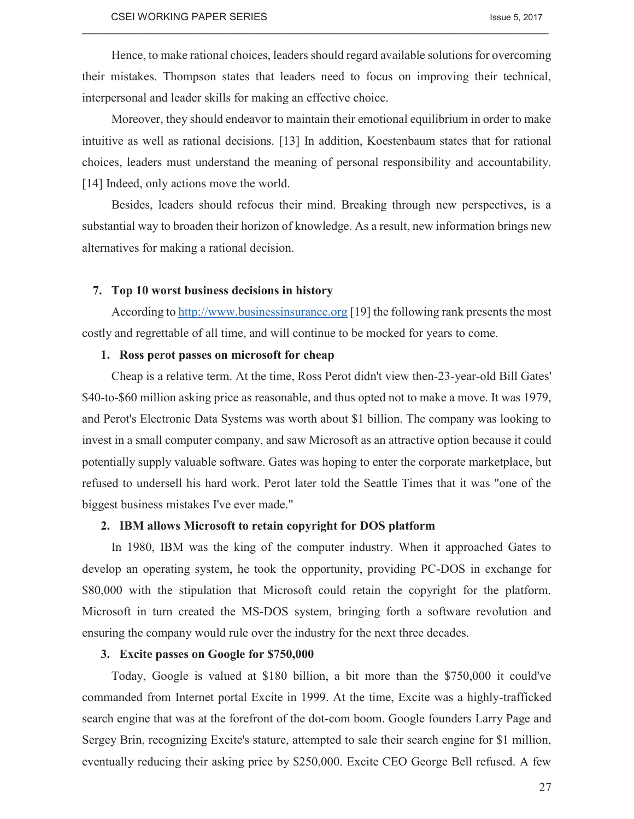Hence, to make rational choices, leaders should regard available solutions for overcoming their mistakes. Thompson states that leaders need to focus on improving their technical, interpersonal and leader skills for making an effective choice.

 $\_$  , and the state of the state of the state of the state of the state of the state of the state of the state of the state of the state of the state of the state of the state of the state of the state of the state of the

Moreover, they should endeavor to maintain their emotional equilibrium in order to make intuitive as well as rational decisions. [13] In addition, Koestenbaum states that for rational choices, leaders must understand the meaning of personal responsibility and accountability. [14] Indeed, only actions move the world.

Besides, leaders should refocus their mind. Breaking through new perspectives, is a substantial way to broaden their horizon of knowledge. As a result, new information brings new alternatives for making a rational decision.

# **7. Top 10 worst business decisions in history**

According to http://www.businessinsurance.org [19] the following rank presents the most costly and regrettable of all time, and will continue to be mocked for years to come.

# **1. Ross perot passes on microsoft for cheap**

Cheap is a relative term. At the time, Ross Perot didn't view then-23-year-old Bill Gates' \$40-to-\$60 million asking price as reasonable, and thus opted not to make a move. It was 1979, and Perot's Electronic Data Systems was worth about \$1 billion. The company was looking to invest in a small computer company, and saw Microsoft as an attractive option because it could potentially supply valuable software. Gates was hoping to enter the corporate marketplace, but refused to undersell his hard work. Perot later told the Seattle Times that it was "one of the biggest business mistakes I've ever made."

# **2. IBM allows Microsoft to retain copyright for DOS platform**

In 1980, IBM was the king of the computer industry. When it approached Gates to develop an operating system, he took the opportunity, providing PC-DOS in exchange for \$80,000 with the stipulation that Microsoft could retain the copyright for the platform. Microsoft in turn created the MS-DOS system, bringing forth a software revolution and ensuring the company would rule over the industry for the next three decades.

### **3. Excite passes on Google for \$750,000**

Today, Google is valued at \$180 billion, a bit more than the \$750,000 it could've commanded from Internet portal Excite in 1999. At the time, Excite was a highly-trafficked search engine that was at the forefront of the dot-com boom. Google founders Larry Page and Sergey Brin, recognizing Excite's stature, attempted to sale their search engine for \$1 million, eventually reducing their asking price by \$250,000. Excite CEO George Bell refused. A few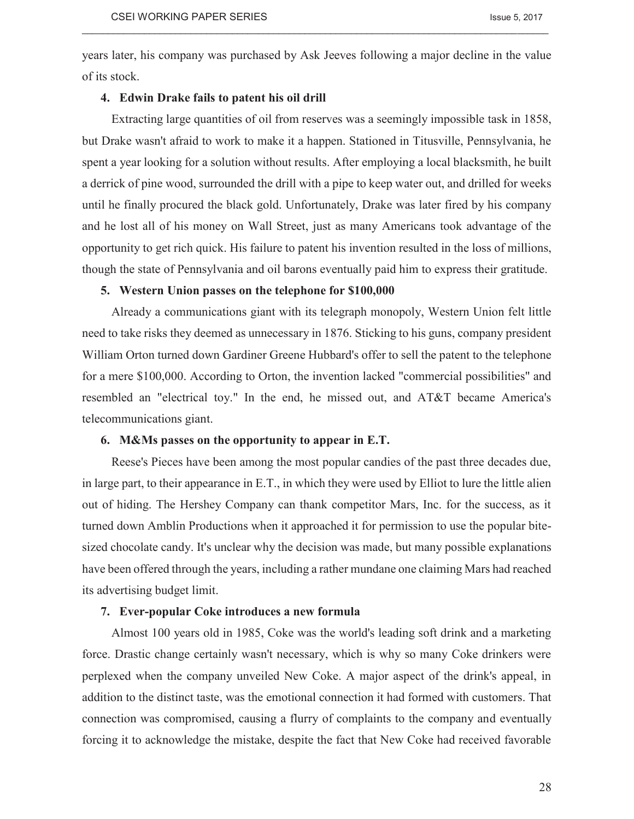years later, his company was purchased by Ask Jeeves following a major decline in the value of its stock.

 $\_$  , and the state of the state of the state of the state of the state of the state of the state of the state of the state of the state of the state of the state of the state of the state of the state of the state of the

# **4. Edwin Drake fails to patent his oil drill**

Extracting large quantities of oil from reserves was a seemingly impossible task in 1858, but Drake wasn't afraid to work to make it a happen. Stationed in Titusville, Pennsylvania, he spent a year looking for a solution without results. After employing a local blacksmith, he built a derrick of pine wood, surrounded the drill with a pipe to keep water out, and drilled for weeks until he finally procured the black gold. Unfortunately, Drake was later fired by his company and he lost all of his money on Wall Street, just as many Americans took advantage of the opportunity to get rich quick. His failure to patent his invention resulted in the loss of millions, though the state of Pennsylvania and oil barons eventually paid him to express their gratitude.

# **5. Western Union passes on the telephone for \$100,000**

Already a communications giant with its telegraph monopoly, Western Union felt little need to take risks they deemed as unnecessary in 1876. Sticking to his guns, company president William Orton turned down Gardiner Greene Hubbard's offer to sell the patent to the telephone for a mere \$100,000. According to Orton, the invention lacked "commercial possibilities" and resembled an "electrical toy." In the end, he missed out, and AT&T became America's telecommunications giant.

# **6. M&Ms passes on the opportunity to appear in E.T.**

Reese's Pieces have been among the most popular candies of the past three decades due, in large part, to their appearance in E.T., in which they were used by Elliot to lure the little alien out of hiding. The Hershey Company can thank competitor Mars, Inc. for the success, as it turned down Amblin Productions when it approached it for permission to use the popular bitesized chocolate candy. It's unclear why the decision was made, but many possible explanations have been offered through the years, including a rather mundane one claiming Mars had reached its advertising budget limit.

### **7. Ever-popular Coke introduces a new formula**

Almost 100 years old in 1985, Coke was the world's leading soft drink and a marketing force. Drastic change certainly wasn't necessary, which is why so many Coke drinkers were perplexed when the company unveiled New Coke. A major aspect of the drink's appeal, in addition to the distinct taste, was the emotional connection it had formed with customers. That connection was compromised, causing a flurry of complaints to the company and eventually forcing it to acknowledge the mistake, despite the fact that New Coke had received favorable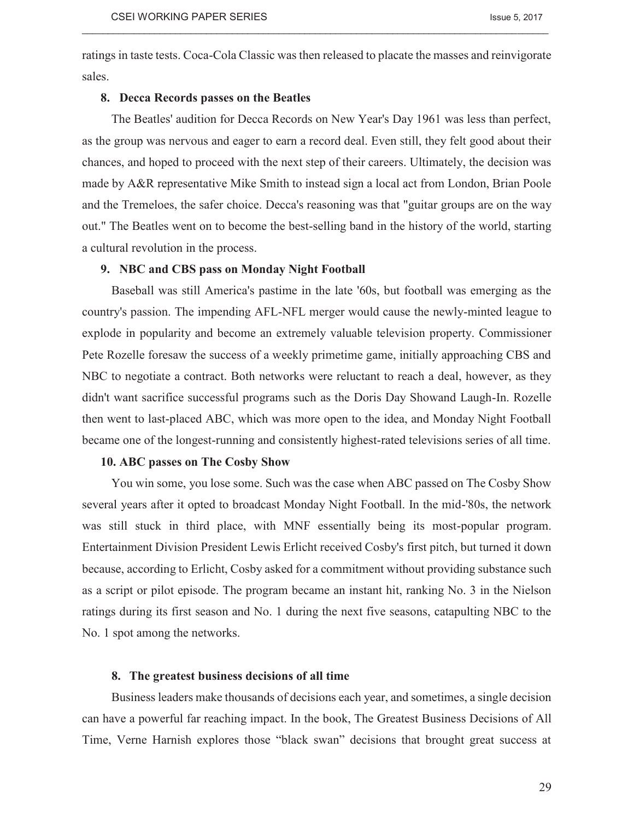ratings in taste tests. Coca-Cola Classic was then released to placate the masses and reinvigorate sales.

 $\_$  , and the state of the state of the state of the state of the state of the state of the state of the state of the state of the state of the state of the state of the state of the state of the state of the state of the

### **8. Decca Records passes on the Beatles**

The Beatles' audition for Decca Records on New Year's Day 1961 was less than perfect, as the group was nervous and eager to earn a record deal. Even still, they felt good about their chances, and hoped to proceed with the next step of their careers. Ultimately, the decision was made by A&R representative Mike Smith to instead sign a local act from London, Brian Poole and the Tremeloes, the safer choice. Decca's reasoning was that "guitar groups are on the way out." The Beatles went on to become the best-selling band in the history of the world, starting a cultural revolution in the process.

# **9. NBC and CBS pass on Monday Night Football**

Baseball was still America's pastime in the late '60s, but football was emerging as the country's passion. The impending AFL-NFL merger would cause the newly-minted league to explode in popularity and become an extremely valuable television property. Commissioner Pete Rozelle foresaw the success of a weekly primetime game, initially approaching CBS and NBC to negotiate a contract. Both networks were reluctant to reach a deal, however, as they didn't want sacrifice successful programs such as the Doris Day Showand Laugh-In. Rozelle then went to last-placed ABC, which was more open to the idea, and Monday Night Football became one of the longest-running and consistently highest-rated televisions series of all time.

### **10. ABC passes on The Cosby Show**

You win some, you lose some. Such was the case when ABC passed on The Cosby Show several years after it opted to broadcast Monday Night Football. In the mid-'80s, the network was still stuck in third place, with MNF essentially being its most-popular program. Entertainment Division President Lewis Erlicht received Cosby's first pitch, but turned it down because, according to Erlicht, Cosby asked for a commitment without providing substance such as a script or pilot episode. The program became an instant hit, ranking No. 3 in the Nielson ratings during its first season and No. 1 during the next five seasons, catapulting NBC to the No. 1 spot among the networks.

# **8. The greatest business decisions of all time**

Business leaders make thousands of decisions each year, and sometimes, a single decision can have a powerful far reaching impact. In the book, The Greatest Business Decisions of All Time, Verne Harnish explores those "black swan" decisions that brought great success at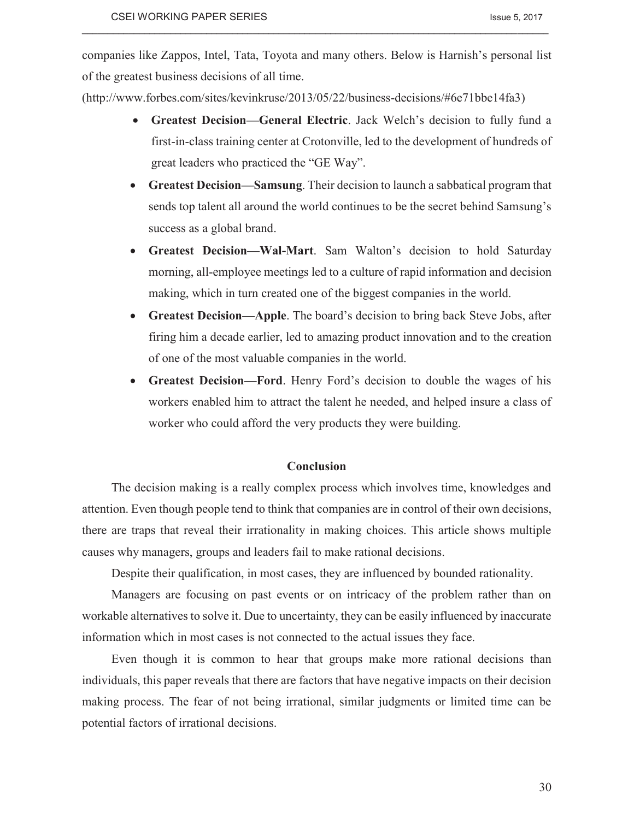companies like Zappos, Intel, Tata, Toyota and many others. Below is Harnish's personal list of the greatest business decisions of all time.

 $\_$  , and the state of the state of the state of the state of the state of the state of the state of the state of the state of the state of the state of the state of the state of the state of the state of the state of the

(http://www.forbes.com/sites/kevinkruse/2013/05/22/business-decisions/#6e71bbe14fa3)

- · **Greatest Decision—General Electric**. Jack Welch's decision to fully fund a first-in-class training center at Crotonville, led to the development of hundreds of great leaders who practiced the "GE Way".
- · **Greatest Decision—Samsung**. Their decision to launch a sabbatical program that sends top talent all around the world continues to be the secret behind Samsung's success as a global brand.
- · **Greatest Decision—Wal-Mart**. Sam Walton's decision to hold Saturday morning, all-employee meetings led to a culture of rapid information and decision making, which in turn created one of the biggest companies in the world.
- · **Greatest Decision—Apple**. The board's decision to bring back Steve Jobs, after firing him a decade earlier, led to amazing product innovation and to the creation of one of the most valuable companies in the world.
- · **Greatest Decision—Ford**. Henry Ford's decision to double the wages of his workers enabled him to attract the talent he needed, and helped insure a class of worker who could afford the very products they were building.

# **Conclusion**

The decision making is a really complex process which involves time, knowledges and attention. Even though people tend to think that companies are in control of their own decisions, there are traps that reveal their irrationality in making choices. This article shows multiple causes why managers, groups and leaders fail to make rational decisions.

Despite their qualification, in most cases, they are influenced by bounded rationality.

Managers are focusing on past events or on intricacy of the problem rather than on workable alternatives to solve it. Due to uncertainty, they can be easily influenced by inaccurate information which in most cases is not connected to the actual issues they face.

Even though it is common to hear that groups make more rational decisions than individuals, this paper reveals that there are factors that have negative impacts on their decision making process. The fear of not being irrational, similar judgments or limited time can be potential factors of irrational decisions.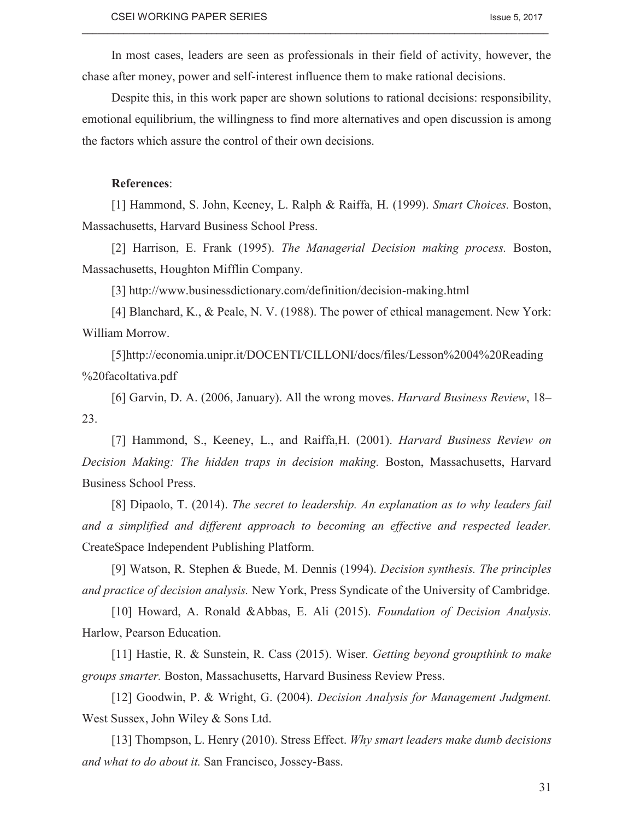In most cases, leaders are seen as professionals in their field of activity, however, the chase after money, power and self-interest influence them to make rational decisions.

 $\_$  , and the state of the state of the state of the state of the state of the state of the state of the state of the state of the state of the state of the state of the state of the state of the state of the state of the

Despite this, in this work paper are shown solutions to rational decisions: responsibility, emotional equilibrium, the willingness to find more alternatives and open discussion is among the factors which assure the control of their own decisions.

# **References**:

[1] Hammond, S. John, Keeney, L. Ralph & Raiffa, H. (1999). *Smart Choices.* Boston, Massachusetts, Harvard Business School Press.

[2] Harrison, E. Frank (1995). *The Managerial Decision making process.* Boston, Massachusetts, Houghton Mifflin Company.

[3] http://www.businessdictionary.com/definition/decision-making.html

[4] Blanchard, K., & Peale, N. V. (1988). The power of ethical management. New York: William Morrow.

[5]http://economia.unipr.it/DOCENTI/CILLONI/docs/files/Lesson%2004%20Reading %20facoltativa.pdf

[6] Garvin, D. A. (2006, January). All the wrong moves. *Harvard Business Review*, 18– 23.

[7] Hammond, S., Keeney, L., and Raiffa,H. (2001). *Harvard Business Review on Decision Making: The hidden traps in decision making.* Boston, Massachusetts, Harvard Business School Press.

[8] Dipaolo, T. (2014). *The secret to leadership. An explanation as to why leaders fail and a simplified and different approach to becoming an effective and respected leader.*  CreateSpace Independent Publishing Platform.

[9] Watson, R. Stephen & Buede, M. Dennis (1994). *Decision synthesis. The principles and practice of decision analysis.* New York, Press Syndicate of the University of Cambridge.

[10] Howard, A. Ronald &Abbas, E. Ali (2015). *Foundation of Decision Analysis.*  Harlow, Pearson Education.

[11] Hastie, R. & Sunstein, R. Cass (2015). Wiser*. Getting beyond groupthink to make groups smarter.* Boston, Massachusetts, Harvard Business Review Press.

[12] Goodwin, P. & Wright, G. (2004). *Decision Analysis for Management Judgment.*  West Sussex, John Wiley & Sons Ltd.

[13] Thompson, L. Henry (2010). Stress Effect. *Why smart leaders make dumb decisions and what to do about it.* San Francisco, Jossey-Bass.